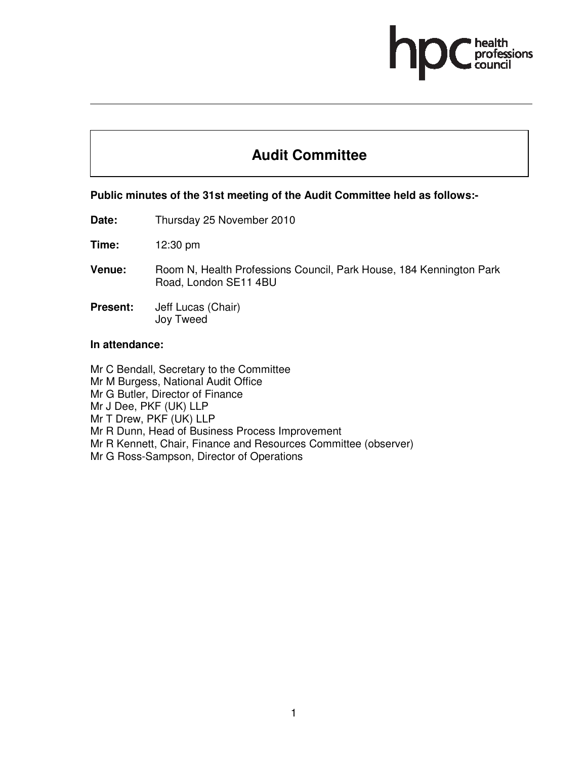# **Audit Committee**

#### **Public minutes of the 31st meeting of the Audit Committee held as follows:-**

**Date:** Thursday 25 November 2010

**Time:** 12:30 pm

- **Venue:** Room N, Health Professions Council, Park House, 184 Kennington Park Road, London SE11 4BU
- **Present:** Jeff Lucas (Chair) Joy Tweed

#### **In attendance:**

Mr C Bendall, Secretary to the Committee Mr M Burgess, National Audit Office Mr G Butler, Director of Finance Mr J Dee, PKF (UK) LLP Mr T Drew, PKF (UK) LLP Mr R Dunn, Head of Business Process Improvement Mr R Kennett, Chair, Finance and Resources Committee (observer) Mr G Ross-Sampson, Director of Operations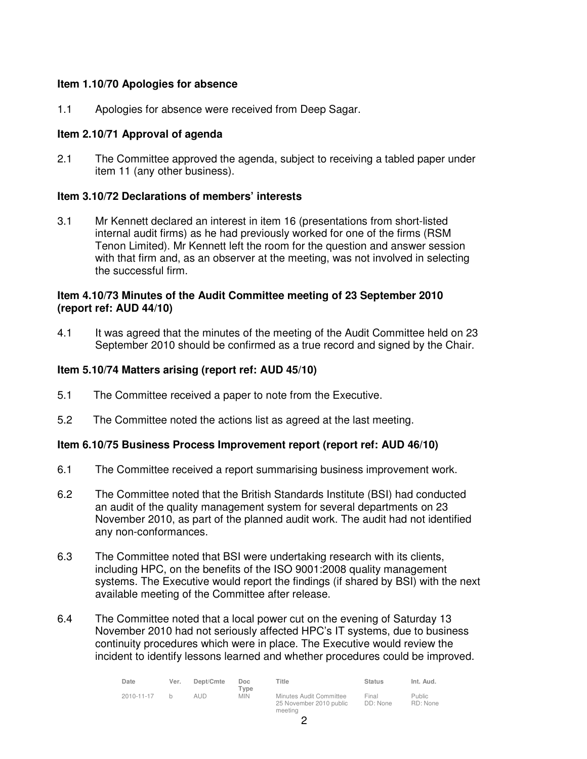## **Item 1.10/70 Apologies for absence**

1.1 Apologies for absence were received from Deep Sagar.

# **Item 2.10/71 Approval of agenda**

2.1 The Committee approved the agenda, subject to receiving a tabled paper under item 11 (any other business).

#### **Item 3.10/72 Declarations of members' interests**

3.1 Mr Kennett declared an interest in item 16 (presentations from short-listed internal audit firms) as he had previously worked for one of the firms (RSM Tenon Limited). Mr Kennett left the room for the question and answer session with that firm and, as an observer at the meeting, was not involved in selecting the successful firm.

#### **Item 4.10/73 Minutes of the Audit Committee meeting of 23 September 2010 (report ref: AUD 44/10)**

4.1 It was agreed that the minutes of the meeting of the Audit Committee held on 23 September 2010 should be confirmed as a true record and signed by the Chair.

#### **Item 5.10/74 Matters arising (report ref: AUD 45/10)**

- 5.1 The Committee received a paper to note from the Executive.
- 5.2 The Committee noted the actions list as agreed at the last meeting.

#### **Item 6.10/75 Business Process Improvement report (report ref: AUD 46/10)**

- 6.1 The Committee received a report summarising business improvement work.
- 6.2 The Committee noted that the British Standards Institute (BSI) had conducted an audit of the quality management system for several departments on 23 November 2010, as part of the planned audit work. The audit had not identified any non-conformances.
- 6.3 The Committee noted that BSI were undertaking research with its clients, including HPC, on the benefits of the ISO 9001:2008 quality management systems. The Executive would report the findings (if shared by BSI) with the next available meeting of the Committee after release.
- 6.4 The Committee noted that a local power cut on the evening of Saturday 13 November 2010 had not seriously affected HPC's IT systems, due to business continuity procedures which were in place. The Executive would review the incident to identify lessons learned and whether procedures could be improved.

| Date       | Ver. | Dept/Cmte | Doc<br>Type | ⊤itle                                                         | <b>Status</b>     | Int. Aud.                 |
|------------|------|-----------|-------------|---------------------------------------------------------------|-------------------|---------------------------|
| 2010-11-17 |      | aud       | <b>MIN</b>  | Minutes Audit Committee<br>25 November 2010 public<br>meeting | Final<br>DD: None | <b>Public</b><br>RD: None |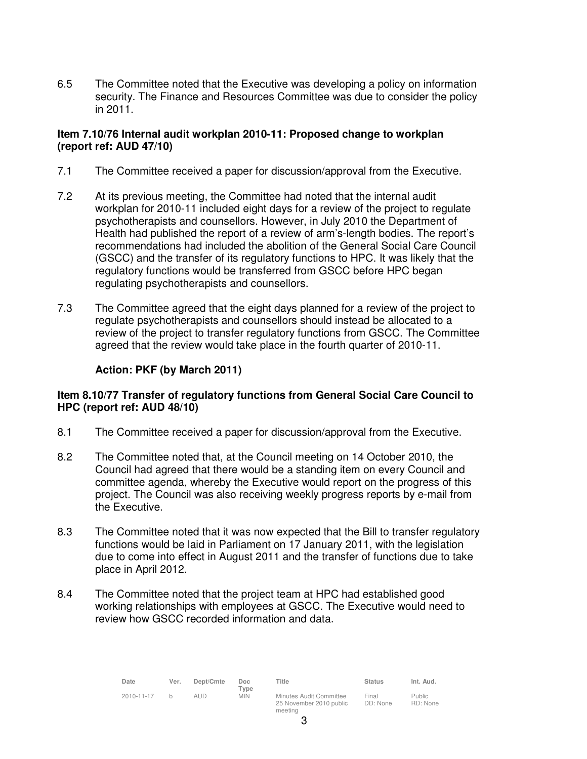6.5 The Committee noted that the Executive was developing a policy on information security. The Finance and Resources Committee was due to consider the policy in 2011.

# **Item 7.10/76 Internal audit workplan 2010-11: Proposed change to workplan (report ref: AUD 47/10)**

- 7.1 The Committee received a paper for discussion/approval from the Executive.
- 7.2 At its previous meeting, the Committee had noted that the internal audit workplan for 2010-11 included eight days for a review of the project to regulate psychotherapists and counsellors. However, in July 2010 the Department of Health had published the report of a review of arm's-length bodies. The report's recommendations had included the abolition of the General Social Care Council (GSCC) and the transfer of its regulatory functions to HPC. It was likely that the regulatory functions would be transferred from GSCC before HPC began regulating psychotherapists and counsellors.
- 7.3 The Committee agreed that the eight days planned for a review of the project to regulate psychotherapists and counsellors should instead be allocated to a review of the project to transfer regulatory functions from GSCC. The Committee agreed that the review would take place in the fourth quarter of 2010-11.

# **Action: PKF (by March 2011)**

# **Item 8.10/77 Transfer of regulatory functions from General Social Care Council to HPC (report ref: AUD 48/10)**

- 8.1 The Committee received a paper for discussion/approval from the Executive.
- 8.2 The Committee noted that, at the Council meeting on 14 October 2010, the Council had agreed that there would be a standing item on every Council and committee agenda, whereby the Executive would report on the progress of this project. The Council was also receiving weekly progress reports by e-mail from the Executive.
- 8.3 The Committee noted that it was now expected that the Bill to transfer regulatory functions would be laid in Parliament on 17 January 2011, with the legislation due to come into effect in August 2011 and the transfer of functions due to take place in April 2012.
- 8.4 The Committee noted that the project team at HPC had established good working relationships with employees at GSCC. The Executive would need to review how GSCC recorded information and data.

| Date       | Ver. | Dept/Cmte | <b>Doc</b><br>Tvpe | Title                                              | <b>Status</b>     | Int. Aud.                 |
|------------|------|-----------|--------------------|----------------------------------------------------|-------------------|---------------------------|
| 2010-11-17 | h    | al Id     | <b>MIN</b>         | Minutes Audit Committee<br>25 November 2010 public | Final<br>DD: None | <b>Public</b><br>RD: None |

meeting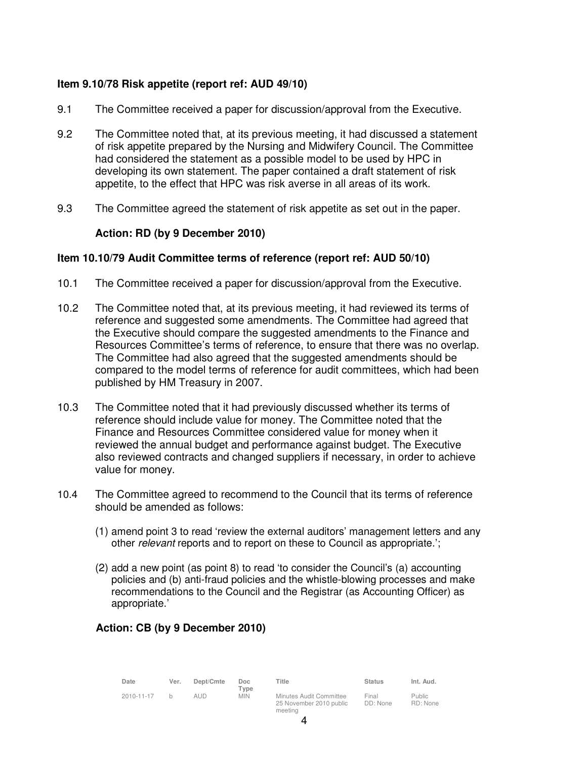# **Item 9.10/78 Risk appetite (report ref: AUD 49/10)**

- 9.1 The Committee received a paper for discussion/approval from the Executive.
- 9.2 The Committee noted that, at its previous meeting, it had discussed a statement of risk appetite prepared by the Nursing and Midwifery Council. The Committee had considered the statement as a possible model to be used by HPC in developing its own statement. The paper contained a draft statement of risk appetite, to the effect that HPC was risk averse in all areas of its work.
- 9.3 The Committee agreed the statement of risk appetite as set out in the paper.

# **Action: RD (by 9 December 2010)**

#### **Item 10.10/79 Audit Committee terms of reference (report ref: AUD 50/10)**

- 10.1 The Committee received a paper for discussion/approval from the Executive.
- 10.2 The Committee noted that, at its previous meeting, it had reviewed its terms of reference and suggested some amendments. The Committee had agreed that the Executive should compare the suggested amendments to the Finance and Resources Committee's terms of reference, to ensure that there was no overlap. The Committee had also agreed that the suggested amendments should be compared to the model terms of reference for audit committees, which had been published by HM Treasury in 2007.
- 10.3 The Committee noted that it had previously discussed whether its terms of reference should include value for money. The Committee noted that the Finance and Resources Committee considered value for money when it reviewed the annual budget and performance against budget. The Executive also reviewed contracts and changed suppliers if necessary, in order to achieve value for money.
- 10.4 The Committee agreed to recommend to the Council that its terms of reference should be amended as follows:
	- (1) amend point 3 to read 'review the external auditors' management letters and any other *relevant* reports and to report on these to Council as appropriate.';
	- (2) add a new point (as point 8) to read 'to consider the Council's (a) accounting policies and (b) anti-fraud policies and the whistle-blowing processes and make recommendations to the Council and the Registrar (as Accounting Officer) as appropriate.'

# **Action: CB (by 9 December 2010)**

| Date       | Ver. | Dept/Cmte | Doc<br>Type | Title                                                         | <b>Status</b>     | Int. Aud.                 |
|------------|------|-----------|-------------|---------------------------------------------------------------|-------------------|---------------------------|
| 2010-11-17 | h.   | AUD.      | <b>MIN</b>  | Minutes Audit Committee<br>25 November 2010 public<br>meeting | Final<br>DD: None | <b>Public</b><br>RD: None |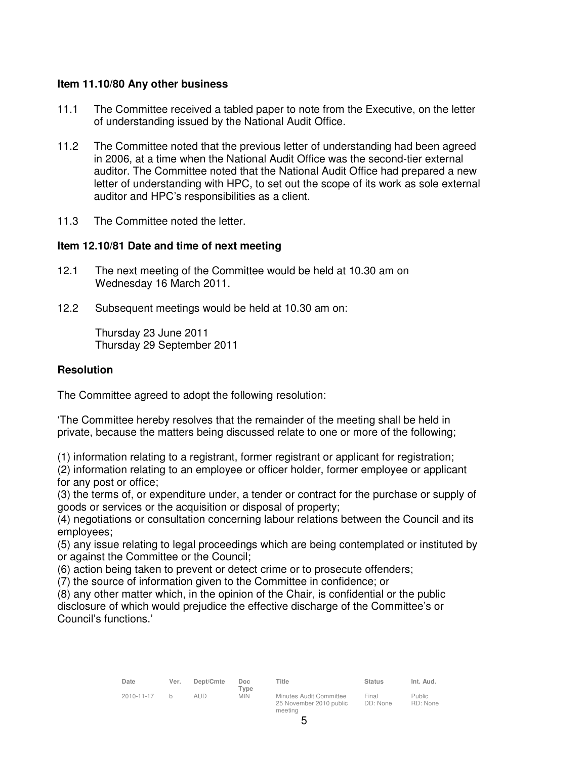#### **Item 11.10/80 Any other business**

- 11.1 The Committee received a tabled paper to note from the Executive, on the letter of understanding issued by the National Audit Office.
- 11.2 The Committee noted that the previous letter of understanding had been agreed in 2006, at a time when the National Audit Office was the second-tier external auditor. The Committee noted that the National Audit Office had prepared a new letter of understanding with HPC, to set out the scope of its work as sole external auditor and HPC's responsibilities as a client.
- 11.3 The Committee noted the letter.

# **Item 12.10/81 Date and time of next meeting**

- 12.1 The next meeting of the Committee would be held at 10.30 am on Wednesday 16 March 2011.
- 12.2 Subsequent meetings would be held at 10.30 am on:

Thursday 23 June 2011 Thursday 29 September 2011

#### **Resolution**

The Committee agreed to adopt the following resolution:

'The Committee hereby resolves that the remainder of the meeting shall be held in private, because the matters being discussed relate to one or more of the following;

(1) information relating to a registrant, former registrant or applicant for registration;

(2) information relating to an employee or officer holder, former employee or applicant for any post or office;

(3) the terms of, or expenditure under, a tender or contract for the purchase or supply of goods or services or the acquisition or disposal of property;

(4) negotiations or consultation concerning labour relations between the Council and its employees;

(5) any issue relating to legal proceedings which are being contemplated or instituted by or against the Committee or the Council;

(6) action being taken to prevent or detect crime or to prosecute offenders;

(7) the source of information given to the Committee in confidence; or

(8) any other matter which, in the opinion of the Chair, is confidential or the public disclosure of which would prejudice the effective discharge of the Committee's or Council's functions.'

| Date       | Ver. | Dept/Cmte | Doc.<br>Type | Title                                              | <b>Status</b>     | Int. Aud.                 |
|------------|------|-----------|--------------|----------------------------------------------------|-------------------|---------------------------|
| 2010-11-17 |      | aud       | <b>MIN</b>   | Minutes Audit Committee<br>25 November 2010 public | Final<br>DD: None | <b>Public</b><br>RD: None |